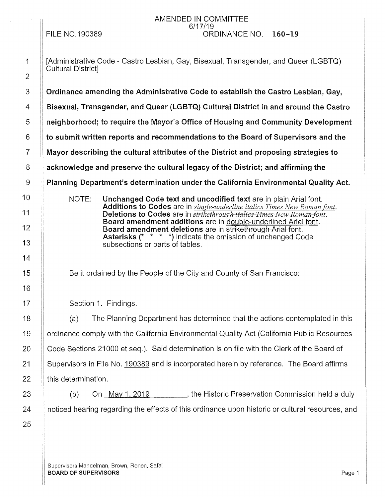## FILE N0.190389

 $\bar{\alpha}$ 

### AMENDED IN COMMITTEE 6/17/19 ORDINANCE NO. 160-19

| $\mathbf 1$    | [Administrative Code - Castro Lesbian, Gay, Bisexual, Transgender, and Queer (LGBTQ)<br>Cultural District]                                                |
|----------------|-----------------------------------------------------------------------------------------------------------------------------------------------------------|
| $\overline{2}$ |                                                                                                                                                           |
| 3              | Ordinance amending the Administrative Code to establish the Castro Lesbian, Gay,                                                                          |
| 4              | Bisexual, Transgender, and Queer (LGBTQ) Cultural District in and around the Castro                                                                       |
| 5              | neighborhood; to require the Mayor's Office of Housing and Community Development                                                                          |
| 6              | to submit written reports and recommendations to the Board of Supervisors and the                                                                         |
| $\overline{7}$ | Mayor describing the cultural attributes of the District and proposing strategies to                                                                      |
| 8              | acknowledge and preserve the cultural legacy of the District; and affirming the                                                                           |
| 9              | Planning Department's determination under the California Environmental Quality Act.                                                                       |
| 10             | NOTE:<br>Unchanged Code text and uncodified text are in plain Arial font.                                                                                 |
| 11             | Additions to Codes are in single-underline italics Times New Roman font.<br>Deletions to Codes are in <i>strikethrough italies Times New Roman font</i> . |
| 12             | Board amendment additions are in double-underlined Arial font.<br>Board amendment deletions are in strikethrough Arial font.                              |
| 13             | <b>Asterisks (* * * *)</b> indicate the omission of unchanged Code<br>subsections or parts of tables.                                                     |
| 14             |                                                                                                                                                           |
| 15             | Be it ordained by the People of the City and County of San Francisco:                                                                                     |
| 16             |                                                                                                                                                           |
| 17             | Section 1. Findings.                                                                                                                                      |
| 18             | The Planning Department has determined that the actions contemplated in this<br>(a)                                                                       |
| 19             | ordinance comply with the California Environmental Quality Act (California Public Resources                                                               |
| 20             | Code Sections 21000 et seq.). Said determination is on file with the Clerk of the Board of                                                                |
| 21             | Supervisors in File No. 190389 and is incorporated herein by reference. The Board affirms                                                                 |
| 22             | this determination.                                                                                                                                       |
| 23             | On May 1, 2019 ________, the Historic Preservation Commission held a duly<br>(b)                                                                          |
| 24             | noticed hearing regarding the effects of this ordinance upon historic or cultural resources, and                                                          |
| 25             |                                                                                                                                                           |
|                |                                                                                                                                                           |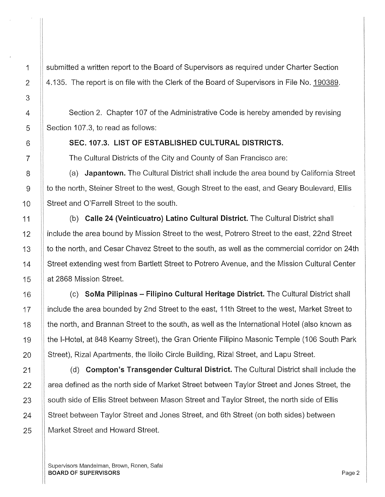1 Submitted a written report to the Board of Supervisors as required under Charter Section 2  $\parallel$  4.135. The report is on file with the Clerk of the Board of Supervisors in File No. 190389.

4 | Section 2. Chapter 107 of the Administrative Code is hereby amended by revising  $5 \parallel$  Section 107.3, to read as follows:

6 **SEC. 107.3. LIST OF ESTABLISHED CULTURAL DISTRICTS.** 

7 **The Cultural Districts of the City and County of San Francisco are:** 

8 (a) Japantown. The Cultural District shall include the area bound by California Street 9 | to the north, Steiner Street to the west, Gough Street to the east, and Geary Boulevard, Ellis 10 | Street and O'Farrell Street to the south.

11 (b) Calle 24 (Veinticuatro) Latino Cultural District. The Cultural District shall 12 If include the area bound by Mission Street to the west, Potrero Street to the east, 22nd Street 13 | to the north, and Cesar Chavez Street to the south, as well as the commercial corridor on 24th 14 Street extending west from Bartlett Street to Potrero Avenue, and the Mission Cultural Center 15 | at 2868 Mission Street.

16  $\parallel$  (c) SoMa Pilipinas – Filipino Cultural Heritage District. The Cultural District shall 17 include the area bounded by 2nd Street to the east, 11th Street to the west, Market Street to 18 If the north, and Brannan Street to the south, as well as the International Hotel (also known as 19 He I-Hotel, at 848 Kearny Street), the Gran Oriente Filipino Masonic Temple (106 South Park 20 Street), Rizal Apartments, the Iloilo Circle Building, Rizal Street, and Lapu Street.

21 **(d)** Compton's Transgender Cultural District. The Cultural District shall include the 22 Area defined as the north side of Market Street between Taylor Street and Jones Street, the 23 South side of Ellis Street between Mason Street and Taylor Street, the north side of Ellis 24 Street between Taylor Street and Jones Street, and 6th Street (on both sides) between 25 | Market Street and Howard Street.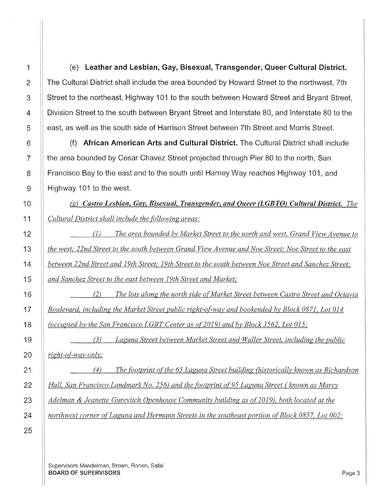1 (e) leather and lesbian, Gay, Bisexual, Transgender, Queer Cultural District. 2 The Cultural District shall include the area bounded by Howard Street to the northwest, 7th 3 Street to the northeast, Highway 101 to the south between Howard Street and Bryant Street, 4 Division Street to the south between Bryant Street and Interstate 80, and Interstate 80 to the 5 | east, as well as the south side of Harrison Street between 7th Street and Morris Street.

6 | (f) African American Arts and Cultural District. The Cultural District shall include **the area bounded by Cesar Chavez Street projected through Pier 80 to the north, San** 8 | Francisco Bay to the east and to the south until Harney Way reaches Highway 101, and 9 Highway 101 to the west.

(g) *Castro Lesbian, Gay, Bisexual, Transgender, and Queer (LGBTQ) Cultural District. The Cultural District shall include the following areas:* 

(1) *The area bounded by Market Street to the north and west, Grand View Avenue to the west,' 22nd Street to the south between Grand View Avenue and Noe Street,' Noe Street to the east between 22nd Street and 19th Street; 19th Street to the south between Noe Street and Sanchez Street; and Sanchez Street to the east between 19th Street and Market,'* 

(2) *The lots along the north side of Market Street between Castro Street and Octavia Boulevard, including the Market Street public right-of way and bookended by Block 0871, Lot 014 (occupied by the San Francisco LGBT Center as of2019) and by Block 3562, Lot 015,·* 

*(3) Laguna Street between Market Street and Waller Street, including the public*   $\|$  *right-of-way only;* 

(4) *The footprint of the 65 Laguna Street building (historically known as Richardson Hall, San Francisco Landmark No. 256) and the footprint of95 Laguna Street (known as Marcy Adelman & Jeanette Gurevitch Openhouse Community building as of 2019), both located at the northwest corner ofLaguna and Hermann Streets in the southeast portion of Block 0857, Lot 002,'*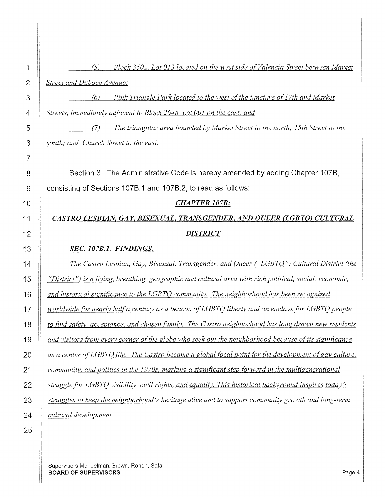(5) *Block 3502, Lot 013 located on the west side of Valencia Street between Market Street and Duboce Avenue;*  (6) *Pink Triangle Park located to the west of the juncture of] 7th and Market Streets, immediately adjacent to Block 2648, Lot 001 on the east; and (7) The triangular area bounded by Market Street to the north; 15th Street to the south; and, Church Street to the east.*  8 Section 3. The Administrative Code is hereby amended by adding Chapter 107B, 9 consisting of Sections 1078.1 and 1078.2, to read as follows: *CHAPTER107B: CASTRO LESBIAN, GAY, BISEXUAL, TRANSGENDER, AND QUEER (LGBTQ) CULTURAL DISTRICT SEC. 107B.1. FINDINGS. The Castro Lesbian, Gay, Bisexual, Transgender, and Queer ("LGBTQ") Cultural District (the "District") is a living, breathing, geographic and cultural area with rich political, social, economic, and historical significance to the LGBTQ community. The neighborhood has been recognized worldwide for nearly half a century as a beacon of LGBTQ liberty and an enclave for LGBTQ people to find safety. acceptance, and chosen family. The Castro neighborhood has long drawn new residents and visitors from every corner of the globe who seek out the neighborhood because of its significance as a center of LGBTQ* life. *The Castro became a global focal point for the development of gay culture, community, and politics in the 1970s, marking a significant step forward in the multigenerational struggle for LGBTQ visibility, civil rights, and equality. This historical background inspires today's struggles to keep the neighborhood's heritage alive and to support community growth and long-term cultural development.*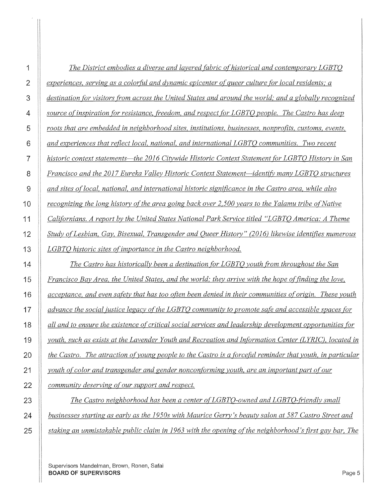| 1              | The District embodies a diverse and layered fabric of historical and contemporary LGBTQ                   |
|----------------|-----------------------------------------------------------------------------------------------------------|
| $\overline{2}$ | experiences, serving as a colorful and dynamic epicenter of queer culture for local residents; a          |
| 3              | destination for visitors from across the United States and around the world; and a globally recognized    |
| 4              | source of inspiration for resistance, freedom, and respect for LGBTO people. The Castro has deep          |
| 5              | roots that are embedded in neighborhood sites, institutions, businesses, nonprofits, customs, events,     |
| 6              | and experiences that reflect local, national, and international LGBTO communities. Two recent             |
| 7              | historic context statements—the 2016 Citywide Historic Context Statement for LGBTO History in San         |
| 8              | Francisco and the 2017 Eureka Valley Historic Context Statement—identify many LGBTO structures            |
| 9              | and sites of local, national, and international historic significance in the Castro area, while also      |
| 10             | recognizing the long history of the area going back over 2,500 years to the Yalamu tribe of Native        |
| 11             | Californians. A report by the United States National Park Service titled "LGBTO America: A Theme          |
| 12             | Study of Lesbian, Gay, Bisexual, Transgender and Queer History" (2016) likewise identifies numerous       |
| 13             | LGBTO historic sites of importance in the Castro neighborhood.                                            |
| 14             | The Castro has historically been a destination for LGBTO youth from throughout the San                    |
| 15             | Francisco Bay Area, the United States, and the world; they arrive with the hope of finding the love,      |
| 16             | acceptance, and even safety that has too often been denied in their communities of origin. These youth    |
| 17             | advance the social justice legacy of the LGBTO community to promote safe and accessible spaces for        |
| 18             | all and to ensure the existence of critical social services and leadership development opportunities for  |
| 19             | youth, such as exists at the Lavender Youth and Recreation and Information Center (LYRIC), located in     |
| 20             | the Castro. The attraction of young people to the Castro is a forceful reminder that youth, in particular |
| 21             | youth of color and transgender and gender nonconforming youth, are an important part of our               |
| 22             | community deserving of our support and respect.                                                           |
| no             | The Castro point perhaps has been a contex of LCRTO guned and LCRTO friendly small                        |

*The Castro neighborhood has been a center of LGBTQ-owned and LGBTQ-friendly small businesses starting as early as the 1950s with Maurice Gerry's beauty salon at 587 Castro Street and staking an unmistakable public claim in 1963 with the opening of the neighborhood's first gay bar, The*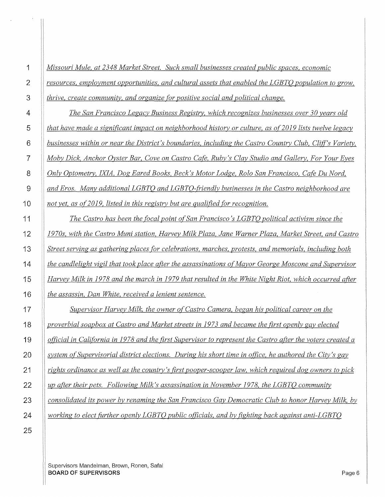| 1  | Missouri Mule, at 2348 Market Street. Such small businesses created public spaces, economic                |
|----|------------------------------------------------------------------------------------------------------------|
| 2  | resources, employment opportunities, and cultural assets that enabled the LGBTQ population to grow,        |
| 3  | thrive, create community, and organize for positive social and political change.                           |
| 4  | The San Francisco Legacy Business Registry, which recognizes businesses over 30 years old                  |
| 5  | that have made a significant impact on neighborhood history or culture, as of 2019 lists twelve legacy     |
| 6  | businesses within or near the District's boundaries, including the Castro Country Club, Cliff's Variety,   |
| 7  | Moby Dick, Anchor Oyster Bar, Cove on Castro Cafe, Ruby's Clay Studio and Gallery, For Your Eyes           |
| 8  | Only Optometry, IXIA, Dog Eared Books, Beck's Motor Lodge, Rolo San Francisco, Cafe Du Nord,               |
| 9  | and Eros. Many additional LGBTO and LGBTO-friendly businesses in the Castro neighborhood are               |
| 10 | not yet, as of 2019, listed in this registry but are qualified for recognition.                            |
| 11 | The Castro has been the focal point of San Francisco's LGBTO political activism since the                  |
| 12 | 1970s, with the Castro Muni station, Harvey Milk Plaza, Jane Warner Plaza, Market Street, and Castro       |
| 13 | Street serving as gathering places for celebrations, marches, protests, and memorials, including both      |
| 14 | the candlelight vigil that took place after the assassinations of Mayor George Moscone and Supervisor      |
| 15 | Harvey Milk in 1978 and the march in 1979 that resulted in the White Night Riot, which occurred after      |
| 16 | the assassin, Dan White, received a lenient sentence.                                                      |
| 17 | Supervisor Harvey Milk, the owner of Castro Camera, began his political career on the                      |
| 18 | proverbial soapbox at Castro and Market streets in 1973 and became the first openly gay elected            |
| 19 | official in California in 1978 and the first Supervisor to represent the Castro after the voters created a |
| 20 | system of Supervisorial district elections. During his short time in office, he authored the City's gay    |
| 21 | rights ordinance as well as the country's first pooper-scooper law, which required dog owners to pick      |
| 22 | up after their pets. Following Milk's assassination in November 1978, the LGBTO community                  |
| 23 | consolidated its power by renaming the San Francisco Gay Democratic Club to honor Harvey Milk, by          |
| 24 | working to elect further openly LGBTO public officials, and by fighting back against anti-LGBTO            |
|    |                                                                                                            |

 $\frac{1}{\sqrt{2}}$ 

 $\alpha_{\rm{max}}$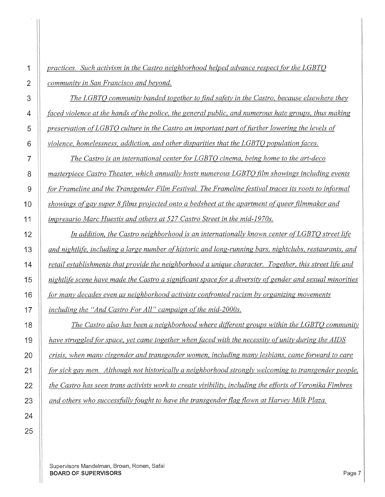*The LGBTQ community banded together to find safety in the Castro, because elsewhere they faced violence at the hands of the police, the general public, and numerous hate groups, thus making preservation of LGBTQ culture in the Castro an important part of further lowering the levels of violence, homelessness, addiction, and other disparities that the LGBTQ population faces.* 

*The Castro is an international center for LGBTQ cinema, being home to the art-deco masterpiece Castro Theater, which annually hosts numerous LGBTQ film showings including events "for Frameline and the Transgender Film Festival. The Frameline festival traces its roots to informal*  **Showings of gay super 8 films projected onto a bedsheet at the apartment of queer filmmaker and** *impresario Marc Huestis and others at 527 Castro Street in the mid-1970s.* 

*In addition, the Castro neighborhood is an internationally known center ofLGBTQ street life and nightlife, including a large number of historic and long-running bars, nightclubs, restaurants, and retail establishments that provide the neighborhood a unique character. Together, this street life and nightlife scene have made the Castro a significant space for a diversity ofgender and sexual minorities hr many decades even as neighborhood activists confronted racism by organizing movements including the "And Castro For All" campaign of the mid-2000s.* 

*The Castro also has been a neighborhood where different groups within the LGBTQ community have struggled for space, yet came together when faced with the necessity of unity during the AIDS crisis, when many cisgender and transgender women, including many lesbians, came forward to care hreprogent in sick gay men. Although not historically a neighborhood strongly welcoming to transgender people, the Castro has seen trans activists work to create visibility, including the efforts of Veronika Fimbres and others who successfully fought to have the transgender flag flown at Harvey Milk Plaza.*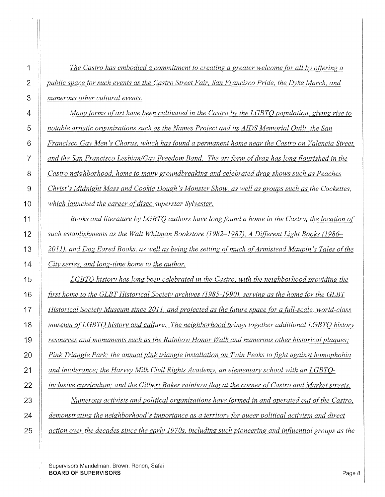| 1              | The Castro has embodied a commitment to creating a greater welcome for all by offering a               |
|----------------|--------------------------------------------------------------------------------------------------------|
| 2              | public space for such events as the Castro Street Fair, San Francisco Pride, the Dyke March, and       |
| 3              | numerous other cultural events.                                                                        |
| 4              | Many forms of art have been cultivated in the Castro by the LGBTO population, giving rise to           |
| 5              | notable artistic organizations such as the Names Project and its AIDS Memorial Quilt, the San          |
| 6              | Francisco Gay Men's Chorus, which has found a permanent home near the Castro on Valencia Street,       |
| $\overline{7}$ | and the San Francisco Lesbian/Gay Freedom Band. The art form of drag has long flourished in the        |
| 8              | Castro neighborhood, home to many groundbreaking and celebrated drag shows such as Peaches             |
| 9              | Christ's Midnight Mass and Cookie Dough's Monster Show, as well as groups such as the Cockettes,       |
| 10             | which launched the career of disco superstar Sylvester.                                                |
| 11             | Books and literature by LGBTO authors have long found a home in the Castro, the location of            |
| 12             | such establishments as the Walt Whitman Bookstore (1982–1987), A Different Light Books (1986–          |
| 13             | 2011), and Dog Eared Books, as well as being the setting of much of Armistead Maupin's Tales of the    |
| 14             | City series, and long-time home to the author.                                                         |
| 15             | LGBTQ history has long been celebrated in the Castro, with the neighborhood providing the              |
| 16             | first home to the GLBT Historical Society archives (1985-1990), serving as the home for the GLBT       |
| 17             | Historical Society Museum since 2011, and projected as the future space for a full-scale, world-class  |
| 18             | museum of LGBTO history and culture. The neighborhood brings together additional LGBTO history         |
| 19             | resources and monuments such as the Rainbow Honor Walk and numerous other historical plaques;          |
| 20             | Pink Triangle Park; the annual pink triangle installation on Twin Peaks to fight against homophobia    |
| 21             | and intolerance; the Harvey Milk Civil Rights Academy, an elementary school with an LGBTO-             |
| 22             | inclusive curriculum; and the Gilbert Baker rainbow flag at the corner of Castro and Market streets.   |
| 23             | Numerous activists and political organizations have formed in and operated out of the Castro,          |
| 24             | demonstrating the neighborhood's importance as a territory for queer political activism and direct     |
| 25             | action over the decades since the early 1970s, including such pioneering and influential groups as the |

 $\mathcal{A}$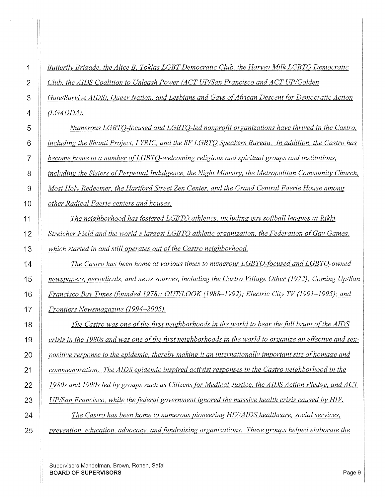*Butterfly Brigade, the Alice B. Toklas LGBT Democratic Club, the Harvey Milk LGBTQ Democratic Club, the AIDS Coalition to Unleash Power (ACT UP/San Francisco and ACT UP/Golden Gate/Survive AIDS), Queer Nation, and Lesbians and Gays of African Descent for Democratic Action (LGADDA).* 

*Numerous LGBTQ-focused and LGBTQ-led nonprofit organizations have thrived in the Castro, including the Shanti Project, LYRIC, and the SF LGBTQ Speakers Bureau. In addition, the Castro has become home to a number ofLGBTQ-welcoming religious and spiritual groups and institutions, including the Sisters of Perpetual Indulgence, the Night Ministry, the Metropolitan Community Church, Most Holy Redeemer, the Hartford Street Zen Center, and the Grand Central Faerie House among other Radical Faerie centers and houses.* 

*The neighborhood has fostered LGBTQ athletics, including gay softball leagues at Rikki Streicher Field and the world's largest LGBTQ athletic organization, the Federation of Gay Games, which started in and still operates out of the Castro neighborhood.* 

*The Castro has been home at various times to numerous LGBTQ-focused and LGBTQ-owned newspapers, periodicals, and news sources, including the Castro Village Other (1972); Coming Up/San Francisco Bay Times (founded 1978); OUT/LOOK (1988-1992),· Electric City TV (1991-1995),· and Frontiers Newsmagazine (1994-2005 ).* 

*The Castro was one of the first neighborhoods in the world to bear the fitll brunt of the AIDS crisis in the 1980s and was one of the first neighborhoods in the world to organize an effective and sex-positive response to the epidemic, thereby making it an internationally important site of homage and commemoration. The AIDS epidemic inspired activist responses in the Castro neighborhood in the 1980s and 1990s led by groups such as Citizens for Medical Justice, the AIDS Action Pledge, and A CT UP/San Francisco, while the federal government ignored the massive health crisis caused by HIV. The Castro has been home to numerous pioneering HIV/AIDS healthcare, social services,* 

*prevention, education, advocacy, and fimdraising organizations. These groups helped elaborate the*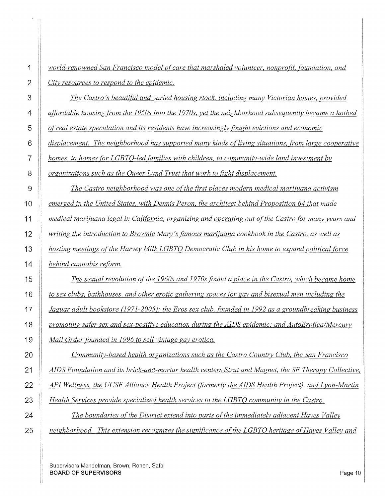| 1              | world-renowned San Francisco model of care that marshaled volunteer, nonprofit, foundation, and      |
|----------------|------------------------------------------------------------------------------------------------------|
| $\overline{2}$ | City resources to respond to the epidemic.                                                           |
| 3              | The Castro's beautiful and varied housing stock, including many Victorian homes, provided            |
| 4              | affordable housing from the 1950s into the 1970s, yet the neighborhood subsequently became a hotbed  |
| 5              | of real estate speculation and its residents have increasingly fought evictions and economic         |
| 6              | displacement. The neighborhood has supported many kinds of living situations, from large cooperative |
| 7              | homes, to homes for LGBTO-led families with children, to community-wide land investment by           |
| 8              | organizations such as the Queer Land Trust that work to fight displacement.                          |
| 9              | The Castro neighborhood was one of the first places modern medical marijuana activism                |
| 10             | emerged in the United States, with Dennis Peron, the architect behind Proposition 64 that made       |
| 11             | medical marijuana legal in California, organizing and operating out of the Castro for many years and |
| 12             | writing the introduction to Brownie Mary's famous marijuana cookbook in the Castro, as well as       |
| 13             | hosting meetings of the Harvey Milk LGBTO Democratic Club in his home to expand political force      |
| 14             | behind cannabis reform.                                                                              |
| 15             | The sexual revolution of the 1960s and 1970s found a place in the Castro, which became home          |
| 16             | to sex clubs, bathhouses, and other erotic gathering spaces for gay and bisexual men including the   |
| 17             | Jaguar adult bookstore (1971-2005); the Eros sex club, founded in 1992 as a groundbreaking business  |
| 18             | promoting safer sex and sex-positive education during the AIDS epidemic; and AutoErotica/Mercury     |
| 19             | Mail Order founded in 1996 to sell vintage gay erotica.                                              |
| 20             | Community-based health organizations such as the Castro Country Club, the San Francisco              |
| 21             | AIDS Foundation and its brick-and-mortar health centers Strut and Magnet, the SF Therapy Collective, |
| 22             | API Wellness, the UCSF Alliance Health Project (formerly the AIDS Health Project), and Lyon-Martin   |
| 23             | Health Services provide specialized health services to the LGBTO community in the Castro.            |
| 24             | The boundaries of the District extend into parts of the immediately adjacent Hayes Valley            |
| 25             | neighborhood. This extension recognizes the significance of the LGBTO heritage of Hayes Valley and   |

 $\rightarrow$ 

 $\hat{\boldsymbol{\beta}}$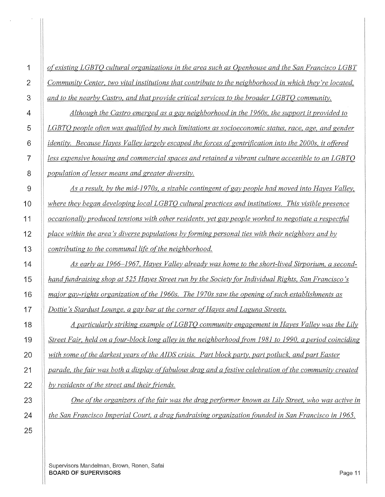|                | of existing LGBTO cultural organizations in the area such as Openhouse and the San Francisco LGBT             |
|----------------|---------------------------------------------------------------------------------------------------------------|
| $\overline{2}$ | Community Center, two vital institutions that contribute to the neighborhood in which they're located,        |
| 3              | and to the nearby Castro, and that provide critical services to the broader LGBTO community.                  |
| 4              | Although the Castro emerged as a gay neighborhood in the 1960s, the support it provided to                    |
| 5              | LGBTO people often was qualified by such limitations as socioeconomic status, race, age, and gender           |
| 6              | <i>identity.</i> Because Hayes Valley largely escaped the forces of gentrification into the 2000s, it offered |
| 7              | less expensive housing and commercial spaces and retained a vibrant culture accessible to an LGBTQ            |
| 8              | population of lesser means and greater diversity.                                                             |
| 9              | As a result, by the mid-1970s, a sizable contingent of gay people had moved into Hayes Valley,                |
| 10             | where they began developing local LGBTQ cultural practices and institutions. This visible presence            |
| 11             | occasionally produced tensions with other residents, yet gay people worked to negotiate a respectful          |
| 12             | place within the area's diverse populations by forming personal ties with their neighbors and by              |
| 13             | contributing to the communal life of the neighborhood.                                                        |
| 14             | As early as 1966–1967, Hayes Valley already was home to the short-lived Sirporium, a second-                  |
| 15             | hand fundraising shop at 525 Hayes Street run by the Society for Individual Rights, San Francisco's           |
| 16             | major gay-rights organization of the 1960s. The 1970s saw the opening of such establishments as               |
| 17             | Dottie's Stardust Lounge, a gay bar at the corner of Hayes and Laguna Streets.                                |
| 18             | A particularly striking example of LGBTO community engagement in Hayes Valley was the Lily                    |
| 19             | Street Fair, held on a four-block long alley in the neighborhood from 1981 to 1990, a period coinciding       |
| 20             | with some of the darkest years of the AIDS crisis. Part block party, part potluck, and part Easter            |
| 21             | parade, the fair was both a display of fabulous drag and a festive celebration of the community created       |
| 22             | by residents of the street and their friends.                                                                 |
| 23             | One of the organizers of the fair was the drag performer known as Lily Street, who was active in              |
| 24             | the San Francisco Imperial Court, a drag fundraising organization founded in San Francisco in 1965.           |
|                |                                                                                                               |

 $\sim$ 

 $\sim$ 

Supervisors Mandelman, Brown, Ronen, Safai **BOARD OF SUPERVISORS** Page 11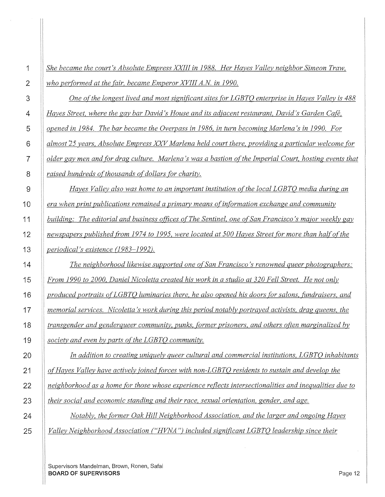| 1              | She became the court's Absolute Empress XXIII in 1988. Her Hayes Valley neighbor Simeon Traw,          |
|----------------|--------------------------------------------------------------------------------------------------------|
| $\overline{2}$ | who performed at the fair, became Emperor XVIII A.N. in 1990.                                          |
| 3              | One of the longest lived and most significant sites for LGBTQ enterprise in Hayes Valley is 488        |
| 4              | Hayes Street, where the gay bar David's House and its adjacent restaurant, David's Garden Café,        |
| 5              | opened in 1984. The bar became the Overpass in 1986, in turn becoming Marlena's in 1990. For           |
| 6              | almost 25 years, Absolute Empress XXV Marlena held court there, providing a particular welcome for     |
| 7              | older gay men and for drag culture. Marlena's was a bastion of the Imperial Court, hosting events that |
| 8              | raised hundreds of thousands of dollars for charity.                                                   |
| 9              | Hayes Valley also was home to an important institution of the local LGBTQ media during an              |
| 10             | era when print publications remained a primary means of information exchange and community             |
| 11             | building: The editorial and business offices of The Sentinel, one of San Francisco's major weekly gay  |
| 12             | newspapers published from 1974 to 1995, were located at 500 Hayes Street for more than half of the     |
| 13             | periodical's existence (1983-1992).                                                                    |
| 14             | The neighborhood likewise supported one of San Francisco's renowned queer photographers:               |
| 15             | From 1990 to 2000, Daniel Nicoletta created his work in a studio at 320 Fell Street. He not only       |
| 16             | produced portraits of LGBTO luminaries there, he also opened his doors for salons, fundraisers, and    |
| 17             | memorial services. Nicoletta's work during this period notably portrayed activists, drag queens, the   |
| 18             | transgender and genderqueer community, punks, former prisoners, and others often marginalized by       |
| 19             | society and even by parts of the LGBTO community.                                                      |
| 20             | In addition to creating uniquely queer cultural and commercial institutions, LGBTO inhabitants         |
| 21             | of Hayes Valley have actively joined forces with non-LGBTQ residents to sustain and develop the        |
| 22             | neighborhood as a home for those whose experience reflects intersectionalities and inequalities due to |
| 23             | their social and economic standing and their race, sexual orientation, gender, and age.                |
| 24             | Notably, the former Oak Hill Neighborhood Association, and the larger and ongoing Hayes                |
| 25             | Valley Neighborhood Association ("HVNA") included significant LGBTO leadership since their             |
|                |                                                                                                        |

 $\hat{\beta}$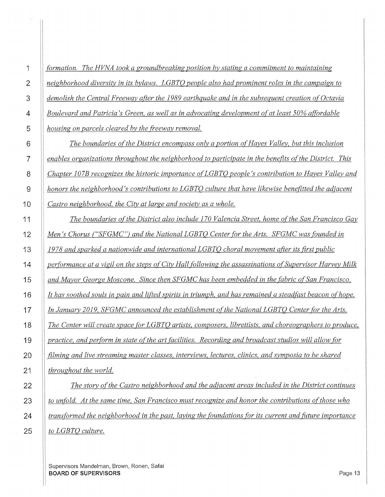| 1              | formation. The HVNA took a groundbreaking position by stating a commitment to maintaining                |
|----------------|----------------------------------------------------------------------------------------------------------|
| $\overline{2}$ | neighborhood diversity in its bylaws. LGBTO people also had prominent roles in the campaign to           |
| 3              | demolish the Central Freeway after the 1989 earthquake and in the subsequent creation of Octavia         |
| 4              | Boulevard and Patricia's Green, as well as in advocating development of at least 50% affordable          |
| 5              | housing on parcels cleared by the freeway removal.                                                       |
| $\,6$          | The boundaries of the District encompass only a portion of Hayes Valley, but this inclusion              |
| $\overline{7}$ | enables organizations throughout the neighborhood to participate in the benefits of the District. This   |
| 8              | Chapter 107B recognizes the historic importance of LGBTO people's contribution to Hayes Valley and       |
| $\overline{9}$ | honors the neighborhood's contributions to LGBTO culture that have likewise benefitted the adjacent      |
| 10             | Castro neighborhood, the City at large and society as a whole.                                           |
| 11             | The boundaries of the District also include 170 Valencia Street, home of the San Francisco Gay           |
| 12             | Men's Chorus ("SFGMC") and the National LGBTO Center for the Arts. SFGMC was founded in                  |
| 13             | 1978 and sparked a nationwide and international LGBTO choral movement after its first public             |
| 14             | performance at a vigil on the steps of City Hall following the assassinations of Supervisor Harvey Milk  |
| 15             | and Mayor George Moscone. Since then SFGMC has been embedded in the fabric of San Francisco.             |
| 16             | It has soothed souls in pain and lifted spirits in triumph, and has remained a steadfast beacon of hope. |
| 17             | In January 2019, SFGMC announced the establishment of the National LGBTO Center for the Arts.            |
| 18             | The Center will create space for LGBTO artists, composers, librettists, and choreographers to produce,   |
| 19             | practice, and perform in state of the art facilities. Recording and broadcast studios will allow for     |
| 20             | filming and live streaming master classes, interviews, lectures, clinics, and symposia to be shared      |
| 21             | throughout the world.                                                                                    |
| 22             | The story of the Castro neighborhood and the adjacent areas included in the District continues           |
| 23             | to unfold. At the same time, San Francisco must recognize and honor the contributions of those who       |
| 24             | transformed the neighborhood in the past, laying the foundations for its current and future importance   |
| 25             | to LGBTO culture.                                                                                        |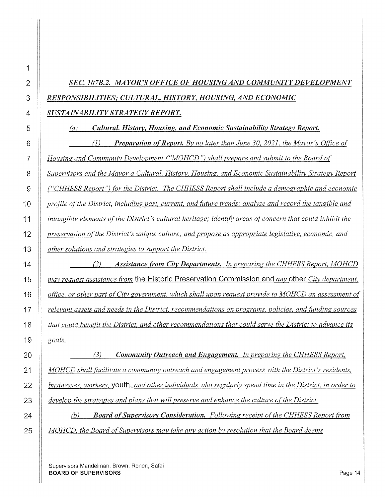# **SEC. 107B.2. MAYOR'S OFFICE OF HOUSING AND COMMUNITY DEVELOPMENT** *RESPONSIBILITIES; CULTURAL, HISTORY, HOUSING, AND ECONOMIC*

## *SUSTAINABILITY STRATEGY REPORT.*

(a) *Cultural, History, Housing, and Economic Sustainability Strategy Report.* 

6 (1) **Preparation of Report.** By no later than June 30, 2021, the Mayor's Office of *Housing and Community Development ("MOHCD") shall prepare and submit to the Board of Supervisors and the Mayor a Cultural, History, Housing, and Economic Sustainability Strategy Report ("CHHESS Report") for the District. The CHHESS Report shall include a demographic and economic profile of the District, including past, current, and fitture trends; analyze and record the tangible and intangible elements of the District's cultural heritage; identify areas of concern that could inhibit the preservation of the District's unique culture; and propose as appropriate legislative, economic, and other solutions and strategies to support the District.* 

14 (2) Assistance from City Departments. In preparing the CHHESS Report, MOHCD *may request assistance from* the Historic Preservation Commission and *any* other *City department, office, or other part of City government, which shall upon request provide to MOHCD an assessment of relevant assets and needs in the District, recommendations on programs, policies, and fitnding sources that could benefit the District, and other recommendations that could serve the District to advance its goals.* 

*(3) Community Outreach and Engagement. In preparing the CHHESS Report, MOHCD shall facilitate a community outreach and engagement process with the District's residents, businesses, workers,* youth. *and other individuals who regularly spend time in the District, in order to develop the strategies and plans that will preserve and enhance the culture ofthe District.* 

24 (b) **Board of Supervisors Consideration.** Following receipt of the CHHESS Report from *MOHCD, the Board of Supervisors may take any action by resolution that the Board deems*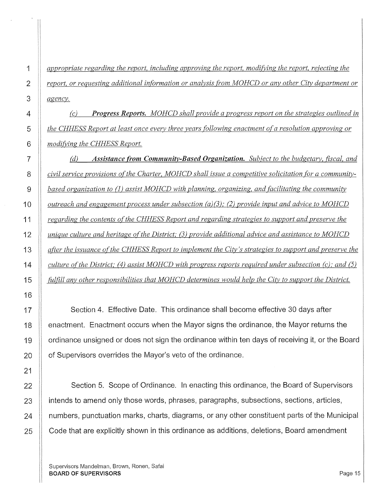*appropriate regarding the report, including approving the report, modifying the report, rejecting the report, or requesting additional information or analysis from MOHCD or any other City department or agency.* 

(c) *Progress Reports. MOHCD shall provide a progress report on the strategies outlined in the CHHESS Report at least once every three years [allowing enactment of a resolution approving or modifYing the CHHESS Report.* 

*(d) Assistance from Community-Based Organization. Sub;ect to the budgetary, fiscal, and civil service provisions of the Charter, MOHCD shall issue a competitive solicitation for a community-***based organization to (1) assist MOHCD** with planning, organizing, and facilitating the community *outreach and engagement process under subsection (a)(3); (2) provide input and advice to MOHCD regarding the contents of the CHHESS Report and regarding strategies to support and preserve the unique culture and heritage of the District; (3) provide additional advice and assistance to MOHCD after the issuance of the CHHESS Report to implement the City's strategies to support and preserve the culture of the District; (4) assist MOHCD with progress reports required under subsection (c); and (5) fulfill any other responsibilities that MOHCD determines would help the City to support the District.* 

17 | Section 4. Effective Date. This ordinance shall become effective 30 days after **Exm** enactment. Enactment occurs when the Mayor signs the ordinance, the Mayor returns the 19 | ordinance unsigned or does not sign the ordinance within ten days of receiving it, or the Board | of Supervisors overrides the Mayor's veto of the ordinance.

22 Section 5. Scope of Ordinance. In enacting this ordinance, the Board of Supervisors **ignor** intends to amend only those words, phrases, paragraphs, subsections, sections, articles, **numbers, punctuation marks, charts, diagrams, or any other constituent parts of the Municipal** 25 Code that are explicitly shown in this ordinance as additions, deletions, Board amendment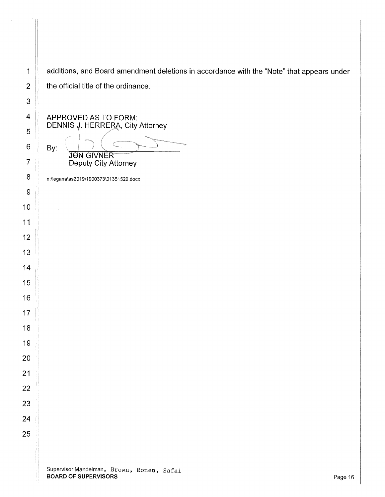1 | additions, and Board amendment deletions in accordance with the "Note" that appears under 2  $\parallel$  the official title of the ordinance.

APPROVED AS TO FORM: DENNIS J. HERRERA, City Attorney

By: .' ::. //···~ -,,,.~~~'~,~~.~~  $J\vec{o}$ N GIVNER Deputy City Attorney

n:\legana\as2019\1900373\01351520.docx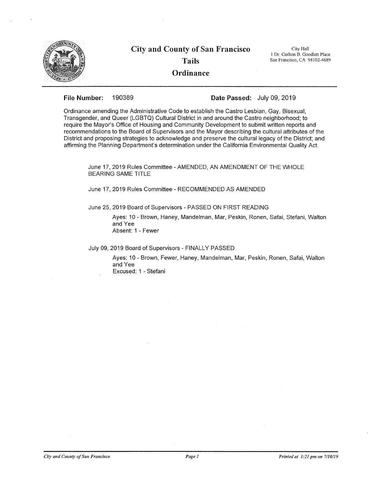

#### File Number: 190389 Date Passed: July 09, 2019

Ordinance amending the Administrative Code to establish the Castro Lesbian, Gay, Bisexual, Transgender, and Queer (LGBTQ) Cultural District in and around the Castro neighborhood; to require the Mayor's Office of Housing and Community Development to submit written reports and recommendations to the Board of Supervisors and the Mayor describing the cultural attributes of the District and proposing strategies to acknowledge and preserve the cultural legacy of the District; and affirming the Planning Department's determination under the California Environmental Quality Act.

June 17, 2019 Rules Committee - AMENDED, AN AMENDMENT OF THE WHOLE BEARING SAME TITLE

June 17, 2019 Rules Committee - RECOMMENDED AS AMENDED

June 25, 2019 Board of Supervisors - PASSED ON FIRST READING

Ayes: 10 - Brown, Haney, Mandelman, Mar, Peskin, Ronen, Safai, Stefani, Walton and Yee Absent: 1 - Fewer

July 09, 2019 Board of Supervisors - FINALLY PASSED

Ayes: 10 - Brown, Fewer, Haney, Mandelman, Mar, Peskin, Ronen, Safai, Walton and Yee

Excused: 1 - Stefani